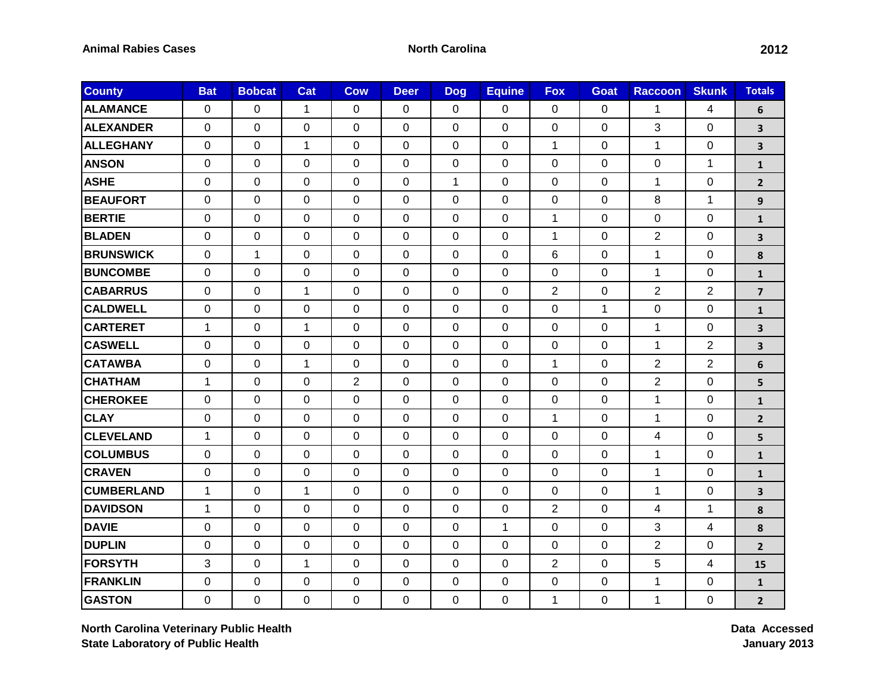| <b>County</b>     | <b>Bat</b>     | <b>Bobcat</b> | Cat          | <b>Cow</b>     | <b>Deer</b> | <b>Dog</b>     | <b>Equine</b>  | <b>Fox</b>     | Goat           | <b>Raccoon</b>   | <b>Skunk</b>   | <b>Totals</b>           |
|-------------------|----------------|---------------|--------------|----------------|-------------|----------------|----------------|----------------|----------------|------------------|----------------|-------------------------|
| <b>ALAMANCE</b>   | $\mathbf 0$    | $\Omega$      | $\mathbf{1}$ | $\Omega$       | 0           | $\mathbf 0$    | $\mathbf{0}$   | 0              | $\Omega$       | 1                | 4              | 6                       |
| <b>ALEXANDER</b>  | $\mathbf 0$    | 0             | 0            | 0              | 0           | 0              | 0              | 0              | 0              | 3                | $\mathbf 0$    | 3                       |
| <b>ALLEGHANY</b>  | $\mathbf 0$    | $\mathbf 0$   | $\mathbf{1}$ | 0              | 0           | $\mathbf 0$    | $\mathbf 0$    | $\mathbf{1}$   | $\mathbf 0$    | $\mathbf{1}$     | $\mathbf 0$    | 3                       |
| <b>ANSON</b>      | $\mathbf 0$    | $\mathbf 0$   | $\pmb{0}$    | 0              | 0           | $\pmb{0}$      | $\mathbf 0$    | $\pmb{0}$      | $\Omega$       | $\boldsymbol{0}$ | $\mathbf 1$    | $\mathbf{1}$            |
| <b>ASHE</b>       | $\mathbf 0$    | 0             | $\mathbf 0$  | 0              | 0           | $\mathbf{1}$   | $\mathbf 0$    | $\mathbf 0$    | $\mathbf 0$    | $\mathbf{1}$     | $\mathbf 0$    | $\mathbf{2}$            |
| <b>BEAUFORT</b>   | $\mathbf 0$    | $\Omega$      | 0            | $\Omega$       | 0           | $\Omega$       | $\mathbf 0$    | 0              | $\Omega$       | 8                | $\mathbf 1$    | 9                       |
| <b>BERTIE</b>     | $\mathbf 0$    | $\mathbf 0$   | $\mathbf 0$  | 0              | 0           | $\mathbf 0$    | $\mathbf{0}$   | $\mathbf{1}$   | $\mathbf 0$    | $\mathbf 0$      | $\mathbf 0$    | $\mathbf{1}$            |
| <b>BLADEN</b>     | $\mathbf 0$    | 0             | 0            | $\Omega$       | 0           | $\mathbf 0$    | $\Omega$       | $\mathbf{1}$   | $\overline{0}$ | $\overline{2}$   | $\overline{0}$ | 3                       |
| <b>BRUNSWICK</b>  | $\mathbf 0$    | 1             | 0            | 0              | 0           | 0              | $\mathbf 0$    | 6              | 0              | $\mathbf{1}$     | $\mathbf 0$    | 8                       |
| <b>BUNCOMBE</b>   | $\mathbf 0$    | 0             | $\mathbf 0$  | 0              | 0           | $\mathbf{0}$   | $\mathbf{0}$   | $\mathbf 0$    | $\mathbf 0$    | $\mathbf{1}$     | $\overline{0}$ | $\mathbf{1}$            |
| <b>CABARRUS</b>   | $\mathbf 0$    | 0             | 1            | 0              | 0           | 0              | $\mathbf 0$    | $\overline{2}$ | $\mathbf 0$    | $\overline{2}$   | 2              | $\overline{\mathbf{z}}$ |
| <b>CALDWELL</b>   | $\mathbf 0$    | 0             | 0            | $\Omega$       | 0           | $\Omega$       | $\Omega$       | 0              | 1              | 0                | $\mathbf 0$    | $\mathbf{1}$            |
| <b>CARTERET</b>   | $\mathbf{1}$   | $\mathbf 0$   | $\mathbf{1}$ | 0              | 0           | $\overline{0}$ | $\mathbf 0$    | $\mathbf 0$    | $\mathbf 0$    | $\mathbf{1}$     | $\mathbf 0$    | 3                       |
| <b>CASWELL</b>    | $\mathbf 0$    | 0             | 0            | 0              | 0           | 0              | $\Omega$       | $\mathbf 0$    | 0              | 1                | 2              | 3                       |
| <b>CATAWBA</b>    | $\mathbf 0$    | 0             | 1            | 0              | 0           | $\mathbf 0$    | 0              | 1              | $\mathbf 0$    | $\overline{2}$   | $\mathbf{2}$   | 6                       |
| <b>CHATHAM</b>    | $\mathbf{1}$   | 0             | 0            | $\overline{2}$ | 0           | $\mathbf 0$    | $\mathbf 0$    | $\mathbf 0$    | 0              | $\overline{2}$   | $\mathbf 0$    | 5                       |
| <b>CHEROKEE</b>   | $\mathbf 0$    | $\mathbf 0$   | $\pmb{0}$    | 0              | 0           | 0              | 0              | $\mathbf 0$    | 0              | $\mathbf{1}$     | $\mathbf 0$    | $\mathbf{1}$            |
| <b>CLAY</b>       | $\Omega$       | $\Omega$      | 0            | $\Omega$       | 0           | $\Omega$       | $\Omega$       | 1              | $\Omega$       | $\mathbf 1$      | $\overline{0}$ | $\overline{2}$          |
| <b>CLEVELAND</b>  | $\mathbf{1}$   | 0             | 0            | 0              | 0           | $\mathbf 0$    | $\mathbf 0$    | $\mathbf 0$    | 0              | 4                | 0              | 5                       |
| <b>COLUMBUS</b>   | $\mathbf 0$    | 0             | 0            | 0              | 0           | 0              | $\overline{0}$ | 0              | $\Omega$       | 1                | $\mathbf 0$    | $\mathbf{1}$            |
| <b>CRAVEN</b>     | $\mathbf 0$    | $\mathbf 0$   | 0            | 0              | 0           | $\mathbf 0$    | $\mathbf 0$    | $\mathbf 0$    | 0              | $\mathbf{1}$     | $\mathbf 0$    | $\mathbf{1}$            |
| <b>CUMBERLAND</b> | $\mathbf{1}$   | 0             | 1            | 0              | 0           | 0              | $\mathbf 0$    | 0              | 0              | 1                | $\mathbf 0$    | 3                       |
| <b>DAVIDSON</b>   | $\mathbf{1}$   | 0             | 0            | 0              | 0           | $\mathbf 0$    | 0              | $\overline{2}$ | $\Omega$       | 4                | 1              | 8                       |
| <b>DAVIE</b>      | $\mathbf 0$    | $\mathbf 0$   | $\mathbf 0$  | 0              | 0           | $\mathbf 0$    | $\mathbf{1}$   | $\pmb{0}$      | $\mathbf 0$    | 3                | 4              | 8                       |
| <b>DUPLIN</b>     | $\mathbf 0$    | 0             | 0            | 0              | 0           | $\mathbf 0$    | 0              | $\mathbf 0$    | $\mathbf 0$    | $\overline{2}$   | $\mathbf 0$    | $\overline{2}$          |
| <b>FORSYTH</b>    | 3              | 0             | 1            | 0              | 0           | $\mathbf 0$    | $\mathbf 0$    | $\overline{2}$ | 0              | 5                | $\overline{4}$ | 15                      |
| <b>FRANKLIN</b>   | $\mathbf 0$    | $\mathbf 0$   | 0            | 0              | 0           | $\mathbf 0$    | $\mathbf 0$    | $\pmb{0}$      | $\pmb{0}$      | $\mathbf{1}$     | $\mathbf 0$    | $\mathbf{1}$            |
| <b>GASTON</b>     | $\overline{0}$ | 0             | 0            | 0              | 0           | $\mathbf 0$    | $\mathbf{0}$   | $\mathbf{1}$   | $\mathbf 0$    | $\mathbf{1}$     | $\Omega$       | $\overline{2}$          |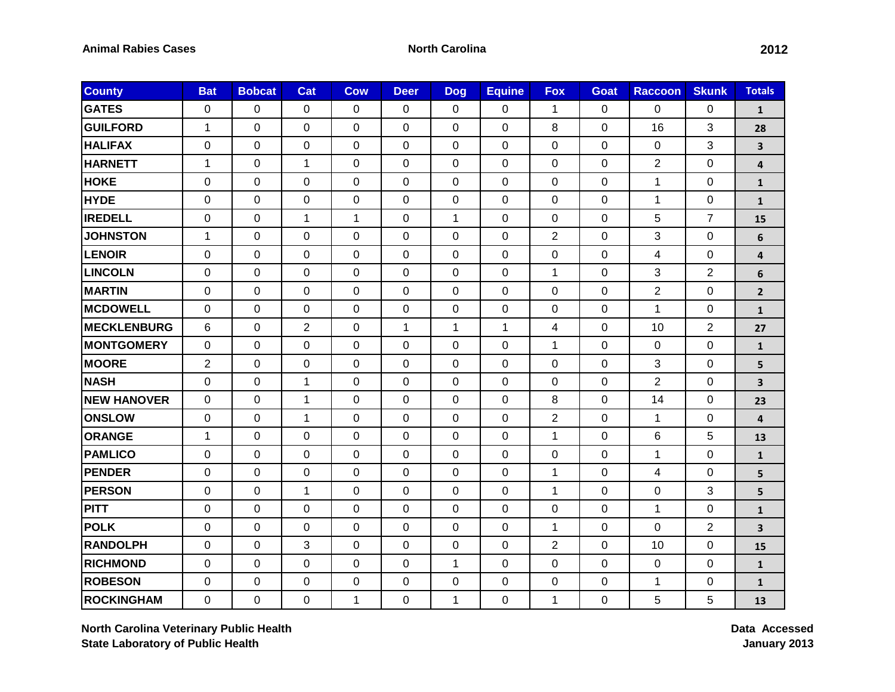| <b>County</b>       | <b>Bat</b>       | <b>Bobcat</b> | Cat            | <b>Cow</b>   | <b>Deer</b>  | <b>Dog</b>     | <b>Equine</b> | <b>Fox</b>     | Goat           | <b>Raccoon</b> | <b>Skunk</b>   | <b>Totals</b>           |
|---------------------|------------------|---------------|----------------|--------------|--------------|----------------|---------------|----------------|----------------|----------------|----------------|-------------------------|
| <b>GATES</b>        | $\mathbf 0$      | 0             | 0              | $\Omega$     | 0            | $\overline{0}$ | 0             | 1              | $\mathbf 0$    | $\overline{0}$ | $\Omega$       | $\mathbf{1}$            |
| <b>GUILFORD</b>     | 1                | 0             | 0              | 0            | 0            | 0              | 0             | 8              | 0              | 16             | 3              | 28                      |
| <b>HALIFAX</b>      | $\mathbf 0$      | $\mathbf 0$   | $\mathbf 0$    | 0            | 0            | $\mathbf 0$    | $\mathbf 0$   | $\mathbf 0$    | $\mathbf 0$    | 0              | 3              | 3                       |
| <b>HARNETT</b>      | $\mathbf{1}$     | $\mathbf 0$   | $\mathbf{1}$   | 0            | 0            | 0              | $\mathbf 0$   | $\pmb{0}$      | $\mathbf 0$    | $\overline{c}$ | $\mathbf 0$    | 4                       |
| <b>HOKE</b>         | $\mathbf 0$      | $\mathbf 0$   | $\mathbf 0$    | 0            | 0            | $\mathbf 0$    | $\mathbf 0$   | $\pmb{0}$      | $\mathbf 0$    | $\mathbf{1}$   | $\mathbf 0$    | $\mathbf{1}$            |
| <b>HYDE</b>         | $\mathbf 0$      | 0             | 0              | 0            | 0            | 0              | $\mathbf 0$   | $\mathbf 0$    | 0              | 1              | $\mathbf 0$    | $\mathbf{1}$            |
| <b>IREDELL</b>      | $\pmb{0}$        | $\mathbf 0$   | $\mathbf{1}$   | $\mathbf{1}$ | 0            | $\mathbf{1}$   | $\mathbf{0}$  | $\pmb{0}$      | $\mathbf 0$    | 5              | $\overline{7}$ | 15                      |
| <b>JOHNSTON</b>     | $\mathbf{1}$     | 0             | 0              | 0            | 0            | $\mathbf 0$    | 0             | $\overline{2}$ | $\mathbf 0$    | 3              | $\mathbf 0$    | 6                       |
| <b>LENOIR</b>       | $\mathbf 0$      | 0             | 0              | 0            | 0            | 0              | $\mathbf 0$   | $\mathbf 0$    | 0              | 4              | 0              | $\overline{\mathbf{4}}$ |
| <b>LINCOLN</b>      | $\mathbf 0$      | $\mathbf 0$   | 0              | 0            | 0            | $\mathbf 0$    | $\mathbf 0$   | $\mathbf{1}$   | $\mathbf 0$    | 3              | $\overline{2}$ | 6                       |
| <b>MARTIN</b>       | $\mathbf 0$      | 0             | 0              | 0            | 0            | 0              | $\mathbf 0$   | $\mathbf 0$    | 0              | $\overline{2}$ | $\mathbf 0$    | $\overline{2}$          |
| <b>MCDOWELL</b>     | 0                | 0             | 0              | 0            | 0            | $\mathbf 0$    | 0             | $\mathbf 0$    | 0              | $\mathbf{1}$   | $\mathbf 0$    | $\mathbf{1}$            |
| <b>IMECKLENBURG</b> | 6                | $\mathbf 0$   | $\overline{2}$ | $\mathbf 0$  | $\mathbf{1}$ | $\mathbf{1}$   | $\mathbf{1}$  | 4              | $\mathbf 0$    | 10             | $\overline{2}$ | 27                      |
| <b>MONTGOMERY</b>   | $\mathbf 0$      | $\mathbf 0$   | 0              | 0            | 0            | 0              | 0             | $\mathbf{1}$   | 0              | 0              | $\mathbf 0$    | $\mathbf{1}$            |
| <b>MOORE</b>        | $\overline{2}$   | 0             | 0              | 0            | 0            | 0              | $\Omega$      | 0              | 0              | 3              | $\mathbf 0$    | 5                       |
| <b>NASH</b>         | $\mathbf 0$      | 0             | $\mathbf{1}$   | 0            | 0            | $\mathbf 0$    | $\mathbf 0$   | $\mathbf 0$    | $\mathbf 0$    | $\overline{2}$ | $\mathbf 0$    | $\overline{\mathbf{3}}$ |
| <b>NEW HANOVER</b>  | $\mathbf 0$      | 0             | 1              | 0            | 0            | 0              | $\mathbf 0$   | 8              | 0              | 14             | $\mathbf 0$    | 23                      |
| <b>ONSLOW</b>       | $\mathbf 0$      | 0             | $\mathbf{1}$   | 0            | 0            | $\mathbf 0$    | 0             | $\overline{2}$ | 0              | 1              | $\mathbf 0$    | 4                       |
| <b>ORANGE</b>       | $\mathbf{1}$     | 0             | 0              | 0            | 0            | $\mathbf 0$    | $\mathbf 0$   | $\mathbf{1}$   | $\Omega$       | 6              | 5              | 13                      |
| <b>PAMLICO</b>      | $\mathbf 0$      | 0             | 0              | 0            | 0            | $\mathbf 0$    | 0             | 0              | $\mathbf 0$    | 1              | $\mathbf 0$    | $\mathbf{1}$            |
| <b>PENDER</b>       | $\mathbf 0$      | 0             | 0              | 0            | 0            | 0              | $\mathbf 0$   | 1              | $\Omega$       | 4              | $\overline{0}$ | 5                       |
| <b>PERSON</b>       | $\mathbf 0$      | $\mathbf 0$   | $\mathbf{1}$   | 0            | 0            | 0              | $\mathbf 0$   | $\mathbf{1}$   | $\mathbf 0$    | $\mathbf 0$    | 3              | 5                       |
| <b>PITT</b>         | $\mathbf 0$      | $\mathbf 0$   | 0              | 0            | 0            | $\mathbf 0$    | $\mathbf 0$   | $\mathbf 0$    | $\Omega$       | $\mathbf{1}$   | $\mathbf 0$    | $\mathbf{1}$            |
| <b>POLK</b>         | $\boldsymbol{0}$ | $\mathbf 0$   | $\pmb{0}$      | 0            | 0            | $\mathbf 0$    | 0             | $\mathbf{1}$   | $\mathbf 0$    | $\mathbf 0$    | $\overline{2}$ | 3                       |
| <b>RANDOLPH</b>     | $\mathbf{0}$     | $\mathbf 0$   | 3              | $\mathbf 0$  | 0            | $\Omega$       | $\mathbf{0}$  | $\overline{2}$ | $\overline{0}$ | 10             | $\mathbf 0$    | 15                      |
| <b>RICHMOND</b>     | $\mathbf 0$      | $\mathbf 0$   | 0              | 0            | 0            | 1              | 0             | $\mathbf 0$    | 0              | 0              | $\mathbf 0$    | $\mathbf{1}$            |
| <b>ROBESON</b>      | 0                | 0             | 0              | 0            | 0            | $\pmb{0}$      | 0             | $\mathbf 0$    | $\mathbf 0$    | $\mathbf{1}$   | 0              | $\mathbf 1$             |
| ROCKINGHAM          | $\mathbf 0$      | 0             | 0              | $\mathbf{1}$ | 0            | $\mathbf{1}$   | 0             | $\mathbf{1}$   | $\mathbf 0$    | 5              | 5              | 13                      |